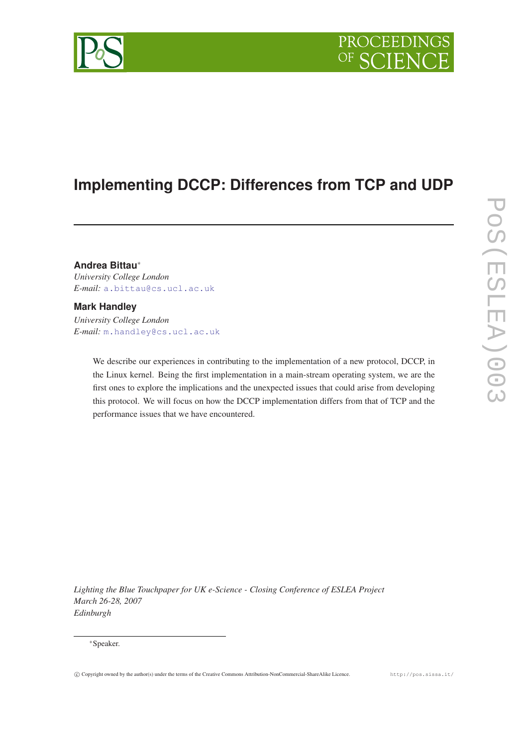# PROCEEDING

## **Implementing DCCP: Differences from TCP and UDP**

**Andrea Bittau**<sup>∗</sup> *University College London E-mail:* [a.bittau@cs.ucl.ac.uk](mailto:a.bittau@cs.ucl.ac.uk)

### **Mark Handley**

*University College London E-mail:* [m.handley@cs.ucl.ac.uk](mailto:m.handley@cs.ucl.ac.uk)

> We describe our experiences in contributing to the implementation of a new protocol, DCCP, in the Linux kernel. Being the first implementation in a main-stream operating system, we are the first ones to explore the implications and the unexpected issues that could arise from developing this protocol. We will focus on how the DCCP implementation differs from that of TCP and the performance issues that we have encountered.

*Lighting the Blue Touchpaper for UK e-Science - Closing Conference of ESLEA Project March 26-28, 2007 Edinburgh*

#### <sup>∗</sup>Speaker.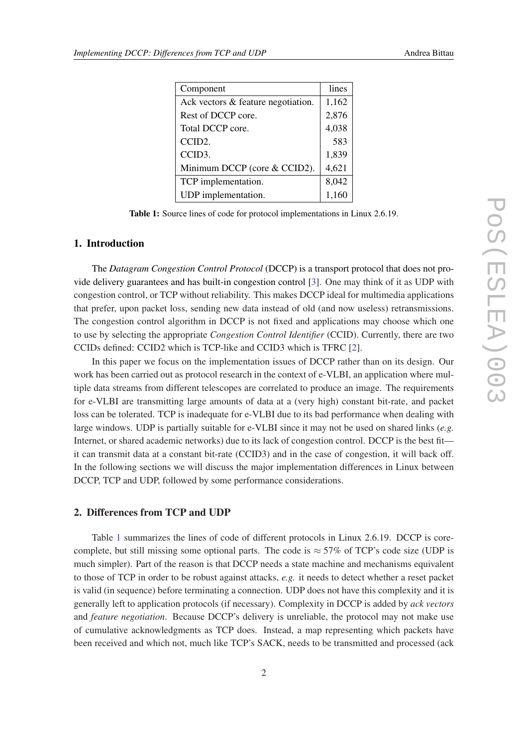| Component                          | lines |
|------------------------------------|-------|
| Ack vectors & feature negotiation. | 1,162 |
| Rest of DCCP core.                 | 2,876 |
| Total DCCP core.                   | 4,038 |
| CCID <sub>2</sub> .                | 583   |
| CCID <sub>3</sub> .                | 1,839 |
| Minimum DCCP (core & CCID2).       | 4,621 |
| TCP implementation.                | 8,042 |
| UDP implementation.                | 1,160 |

Table 1: Source lines of code for protocol implementations in Linux 2.6.19.

#### 1. Introduction

The *Datagram Congestion Control Protocol* (DCCP) is a transport protocol that does not provide delivery guarantees and has built-in congestion control [\[3\]](#page-3-0). One may think of it as UDP with congestion control, or TCP without reliability. This makes DCCP ideal for multimedia applications that prefer, upon packet loss, sending new data instead of old (and now useless) retransmissions. The congestion control algorithm in DCCP is not fixed and applications may choose which one to use by selecting the appropriate *Congestion Control Identifier* (CCID). Currently, there are two CCIDs defined: CCID2 which is TCP-like and CCID3 which is TFRC [[2](#page-3-0)].

In this paper we focus on the implementation issues of DCCP rather than on its design. Our work has been carried out as protocol research in the context of e-VLBI, an application where multiple data streams from different telescopes are correlated to produce an image. The requirements for e-VLBI are transmitting large amounts of data at a (very high) constant bit-rate, and packet loss can be tolerated. TCP is inadequate for e-VLBI due to its bad performance when dealing with large windows. UDP is partially suitable for e-VLBI since it may not be used on shared links (*e.g.* Internet, or shared academic networks) due to its lack of congestion control. DCCP is the best fit it can transmit data at a constant bit-rate (CCID3) and in the case of congestion, it will back off. In the following sections we will discuss the major implementation differences in Linux between DCCP, TCP and UDP, followed by some performance considerations.

#### 2. Differences from TCP and UDP

Table 1 summarizes the lines of code of different protocols in Linux 2.6.19. DCCP is corecomplete, but still missing some optional parts. The code is  $\approx$  57% of TCP's code size (UDP is much simpler). Part of the reason is that DCCP needs a state machine and mechanisms equivalent to those of TCP in order to be robust against attacks, *e.g.* it needs to detect whether a reset packet is valid (in sequence) before terminating a connection. UDP does not have this complexity and it is generally left to application protocols (if necessary). Complexity in DCCP is added by *ack vectors* and *feature negotiation*. Because DCCP's delivery is unreliable, the protocol may not make use of cumulative acknowledgments as TCP does. Instead, a map representing which packets have been received and which not, much like TCP's SACK, needs to be transmitted and processed (ack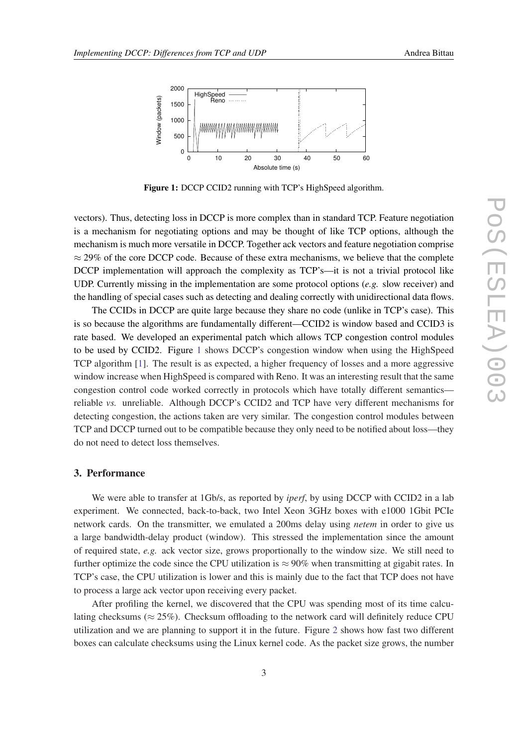

Figure 1: DCCP CCID2 running with TCP's HighSpeed algorithm.

vectors). Thus, detecting loss in DCCP is more complex than in standard TCP. Feature negotiation is a mechanism for negotiating options and may be thought of like TCP options, although the mechanism is much more versatile in DCCP. Together ack vectors and feature negotiation comprise  $\approx$  29% of the core DCCP code. Because of these extra mechanisms, we believe that the complete DCCP implementation will approach the complexity as TCP's—it is not a trivial protocol like UDP. Currently missing in the implementation are some protocol options (*e.g.* slow receiver) and the handling of special cases such as detecting and dealing correctly with unidirectional data flows.

The CCIDs in DCCP are quite large because they share no code (unlike in TCP's case). This is so because the algorithms are fundamentally different—CCID2 is window based and CCID3 is rate based. We developed an experimental patch which allows TCP congestion control modules to be used by CCID2. Figure 1 shows DCCP's congestion window when using the HighSpeed TCP algorithm [[1](#page-3-0)]. The result is as expected, a higher frequency of losses and a more aggressive window increase when HighSpeed is compared with Reno. It was an interesting result that the same congestion control code worked correctly in protocols which have totally different semantics reliable *vs.* unreliable. Although DCCP's CCID2 and TCP have very different mechanisms for detecting congestion, the actions taken are very similar. The congestion control modules between TCP and DCCP turned out to be compatible because they only need to be notified about loss—they do not need to detect loss themselves.

#### 3. Performance

We were able to transfer at 1Gb/s, as reported by *iperf*, by using DCCP with CCID2 in a lab experiment. We connected, back-to-back, two Intel Xeon 3GHz boxes with e1000 1Gbit PCIe network cards. On the transmitter, we emulated a 200ms delay using *netem* in order to give us a large bandwidth-delay product (window). This stressed the implementation since the amount of required state, *e.g.* ack vector size, grows proportionally to the window size. We still need to further optimize the code since the CPU utilization is  $\approx 90\%$  when transmitting at gigabit rates. In TCP's case, the CPU utilization is lower and this is mainly due to the fact that TCP does not have to process a large ack vector upon receiving every packet.

After profiling the kernel, we discovered that the CPU was spending most of its time calculating checksums ( $\approx 25\%$ ). Checksum offloading to the network card will definitely reduce CPU utilization and we are planning to support it in the future. Figure [2](#page-3-0) shows how fast two different boxes can calculate checksums using the Linux kernel code. As the packet size grows, the number